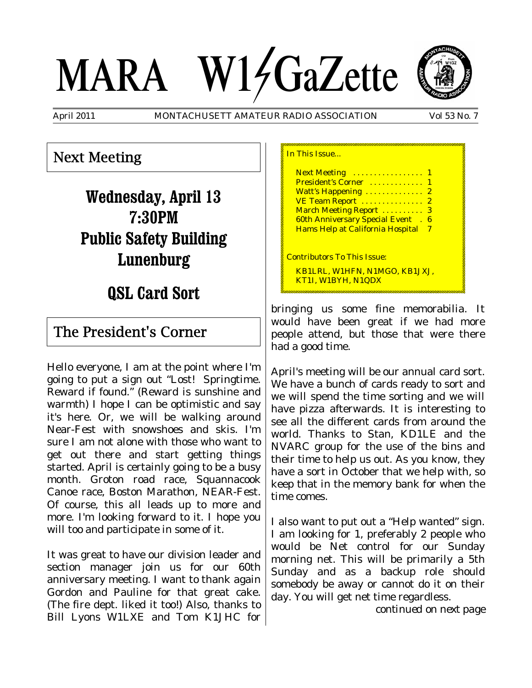# MARA W14GaZette



April 2011 MONTACHUSETT AMATEUR RADIO ASSOCIATION Vol 53 No. 7

#### Next Meeting

**Wednesday, April 13 7:30PM Public Safety Building Lunenburg**

## **QSL Card Sort**

#### The President's Corner

Hello everyone, I am at the point where I'm going to put a sign out "Lost! Springtime. Reward if found." (Reward is sunshine and warmth) I hope I can be optimistic and say it's here. Or, we will be walking around Near-Fest with snowshoes and skis. I'm sure I am not alone with those who want to get out there and start getting things started. April is certainly going to be a busy month. Groton road race, Squannacook Canoe race, Boston Marathon, NEAR-Fest. Of course, this all leads up to more and more. I'm looking forward to it. I hope you will too and participate in some of it.

It was great to have our division leader and section manager join us for our 60th anniversary meeting. I want to thank again Gordon and Pauline for that great cake. (The fire dept. liked it too!) Also, thanks to Bill Lyons W1LXE and Tom K1JHC for

| In This Issue                                                                                                                                                                                                                                                |  |
|--------------------------------------------------------------------------------------------------------------------------------------------------------------------------------------------------------------------------------------------------------------|--|
| Next Meeting  1<br>President's Corner<br>-1<br>Watt's Happening<br>$\mathbf{2}$<br>VE Team Report<br>$\mathbf{2}$<br>March Meeting Report<br>- 3<br><b>60th Anniversary Special Event</b><br>-6<br>$\mathbb{R}^2$<br><b>Hams Help at California Hospital</b> |  |
| <b>Contributors To This Issue:</b><br>KB1LRL, W1HFN, N1MGO, KB1JXJ,<br>KT1I, W1BYH, N1QDX                                                                                                                                                                    |  |

bringing us some fine memorabilia. It would have been great if we had more people attend, but those that were there had a good time.

April's meeting will be our annual card sort. We have a bunch of cards ready to sort and we will spend the time sorting and we will have pizza afterwards. It is interesting to see all the different cards from around the world. Thanks to Stan, KD1LE and the NVARC group for the use of the bins and their time to help us out. As you know, they have a sort in October that we help with, so keep that in the memory bank for when the time comes.

I also want to put out a "Help wanted" sign. I am looking for 1, preferably 2 people who would be Net control for our Sunday morning net. This will be primarily a 5th Sunday and as a backup role should somebody be away or cannot do it on their day. You will get net time regardless.

*continued on next page*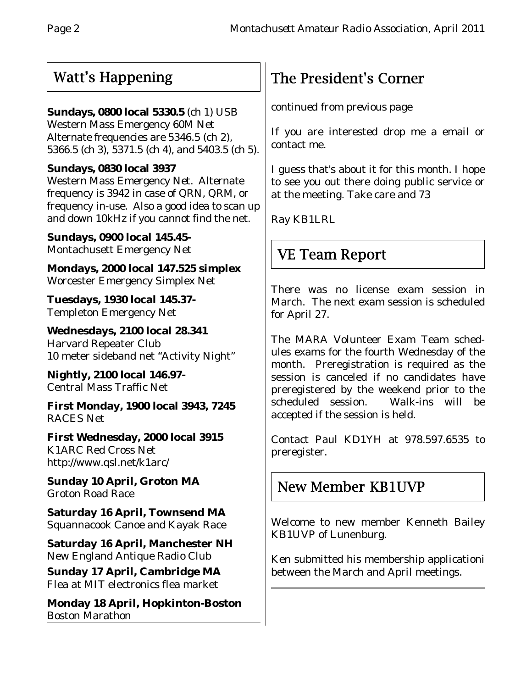## Watt's Happening

#### **Sundays, 0800 local 5330.5** (ch 1) USB

Western Mass Emergency 60M Net Alternate frequencies are 5346.5 (ch 2), 5366.5 (ch 3), 5371.5 (ch 4), and 5403.5 (ch 5).

#### **Sundays, 0830 local 3937**

Western Mass Emergency Net. Alternate frequency is 3942 in case of QRN, QRM, or frequency in-use. Also a good idea to scan up and down 10kHz if you cannot find the net.

**Sundays, 0900 local 145.45-** Montachusett Emergency Net

**Mondays, 2000 local 147.525 simplex** Worcester Emergency Simplex Net

**Tuesdays, 1930 local 145.37-** Templeton Emergency Net

**Wednesdays, 2100 local 28.341** Harvard Repeater Club 10 meter sideband net "Activity Night"

**Nightly, 2100 local 146.97-** Central Mass Traffic Net

**First Monday, 1900 local 3943, 7245** RACES Net

**First Wednesday, 2000 local 3915** K1ARC Red Cross Net http://www.qsl.net/k1arc/

**Sunday 10 April, Groton MA** Groton Road Race

**Saturday 16 April, Townsend MA** Squannacook Canoe and Kayak Race

**Saturday 16 April, Manchester NH** New England Antique Radio Club

**Sunday 17 April, Cambridge MA** Flea at MIT electronics flea market

**Monday 18 April, Hopkinton-Boston** Boston Marathon

# The President's Corner

*continued from previous page*

If you are interested drop me a email or contact me.

I guess that's about it for this month. I hope to see you out there doing public service or at the meeting. Take care and 73

Ray KB1LRL

## VE Team Report

There was no license exam session in March. The next exam session is scheduled for April 27.

The MARA Volunteer Exam Team schedules exams for the fourth Wednesday of the month. Preregistration is required as the session is canceled if no candidates have preregistered by the weekend prior to the scheduled session. Walk-ins will be accepted if the session is held.

Contact Paul KD1YH at 978.597.6535 to preregister.

## New Member KB1UVP

Welcome to new member Kenneth Bailey KB1UVP of Lunenburg.

Ken submitted his membership applicationi between the March and April meetings.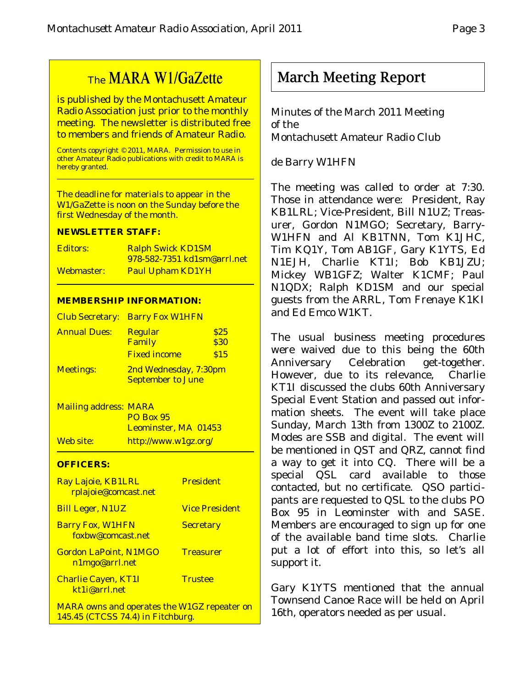## The MARA W1/GaZette

is published by the Montachusett Amateur Radio Association just prior to the monthly meeting. The newsletter is distributed free to members and friends of Amateur Radio.

Contents copyright © 2011, MARA. Permission to use in other Amateur Radio publications with credit to MARA is hereby granted.

The deadline for materials to appear in the W1/GaZette is noon on the Sunday before the first Wednesday of the month.

#### **NEWSLETTER STAFF:**

| <b>Editors:</b> | <b>Ralph Swick KD1SM</b>           |  |
|-----------------|------------------------------------|--|
|                 | <u>978-582-7351 kd1sm@arrl.net</u> |  |
| Webmaster:      | <b>Paul Upham KD1YH</b>            |  |

#### **MEMBERSHIP INFORMATION:**

|                     | <b>Club Secretary: Barry Fox W1HFN</b>            |                     |
|---------------------|---------------------------------------------------|---------------------|
| <b>Annual Dues:</b> | <b>Regular</b><br>Family                          | \$25<br><b>\$30</b> |
|                     | <b>Fixed income</b>                               | \$15                |
| <b>Meetings:</b>    | 2nd Wednesday, 7:30pm<br><b>September to June</b> |                     |

Mailing address: MARA PO Box 95 Leominster, MA 01453 Web site: http://www.w1gz.org/

#### **OFFICERS:**

| Ray Lajoie, KB1LRL<br>rplajoie@comcast.net                                              | <b>President</b>      |
|-----------------------------------------------------------------------------------------|-----------------------|
| <b>Bill Leger, N1UZ</b>                                                                 | <b>Vice President</b> |
| <b>Barry Fox, W1HFN</b><br>foxbw@comcast.net                                            | <b>Secretary</b>      |
| <b>Gordon LaPoint, N1MGO</b><br>n1mgo@arrl.net                                          | <b>Treasurer</b>      |
| <b>Charlie Cayen, KT1I</b><br>kt1i@arrl.net                                             | <b>Trustee</b>        |
| <b>MARA owns and operates the W1GZ repeater on</b><br>145.45 (CTCSS 74.4) in Fitchburg. |                       |

March Meeting Report

Minutes of the March 2011 Meeting of the Montachusett Amateur Radio Club

#### de Barry W1HFN

The meeting was called to order at 7:30. Those in attendance were: President, Ray KB1LRL; Vice-President, Bill N1UZ; Treasurer, Gordon N1MGO; Secretary, Barry-W1HFN and Al KB1TNN, Tom K1JHC, Tim KQ1Y, Tom AB1GF, Gary K1YTS, Ed N1EJH, Charlie KT1I; Bob KB1JZU; Mickey WB1GFZ; Walter K1CMF; Paul N1QDX; Ralph KD1SM and our special guests from the ARRL, Tom Frenaye K1KI and Ed Emco W1KT.

The usual business meeting procedures were waived due to this being the 60th Anniversary Celebration get-together. However, due to its relevance, Charlie KT1I discussed the clubs 60th Anniversary Special Event Station and passed out information sheets. The event will take place Sunday, March 13th from 1300Z to 2100Z. Modes are SSB and digital. The event will be mentioned in QST and QRZ, cannot find a way to get it into CQ. There will be a special QSL card available to those contacted, but no certificate. QSO participants are requested to QSL to the clubs PO Box 95 in Leominster with and SASE. Members are encouraged to sign up for one of the available band time slots. Charlie put a lot of effort into this, so let's all support it.

Gary K1YTS mentioned that the annual Townsend Canoe Race will be held on April 16th, operators needed as per usual.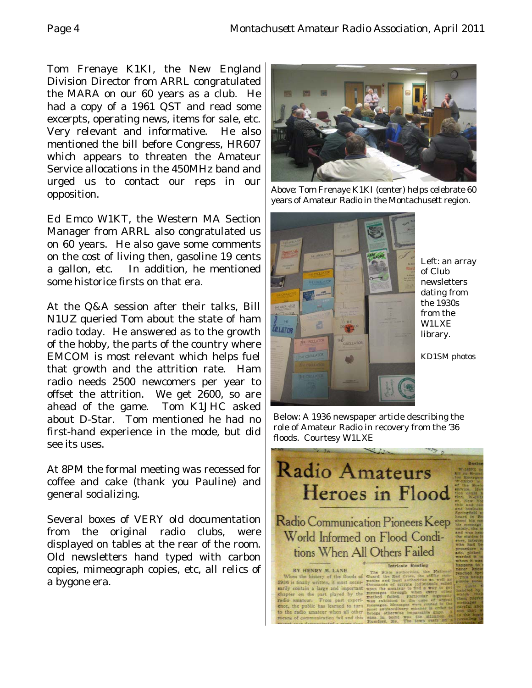Tom Frenaye K1KI, the New England Division Director from ARRL congratulated the MARA on our 60 years as a club. He had a copy of a 1961 QST and read some excerpts, operating news, items for sale, etc. Very relevant and informative. He also mentioned the bill before Congress, HR607 which appears to threaten the Amateur Service allocations in the 450MHz band and urged us to contact our reps in our opposition.

Ed Emco W1KT, the Western MA Section Manager from ARRL also congratulated us on 60 years. He also gave some comments on the cost of living then, gasoline 19 cents a gallon, etc. In addition, he mentioned some historice firsts on that era.

At the Q&A session after their talks, Bill N1UZ queried Tom about the state of ham radio today. He answered as to the growth of the hobby, the parts of the country where EMCOM is most relevant which helps fuel that growth and the attrition rate. Ham radio needs 2500 newcomers per year to offset the attrition. We get 2600, so are ahead of the game. Tom K1JHC asked about D-Star. Tom mentioned he had no first-hand experience in the mode, but did see its uses.

At 8PM the formal meeting was recessed for coffee and cake (thank you Pauline) and general socializing.

Several boxes of VERY old documentation from the original radio clubs, were displayed on tables at the rear of the room. Old newsletters hand typed with carbon copies, mimeograph copies, etc, all relics of a bygone era.



Above: Tom Frenaye K1KI (center) helps celebrate 60 years of Amateur Radio in the Montachusett region.



Left: an array of Club newsletters dating from the 1930s from the W1LXE library.

KD1SM photos

Below: A 1936 newspaper article describing the role of Amateur Radio in recovery from the '36 floods. Courtesy W1LXE

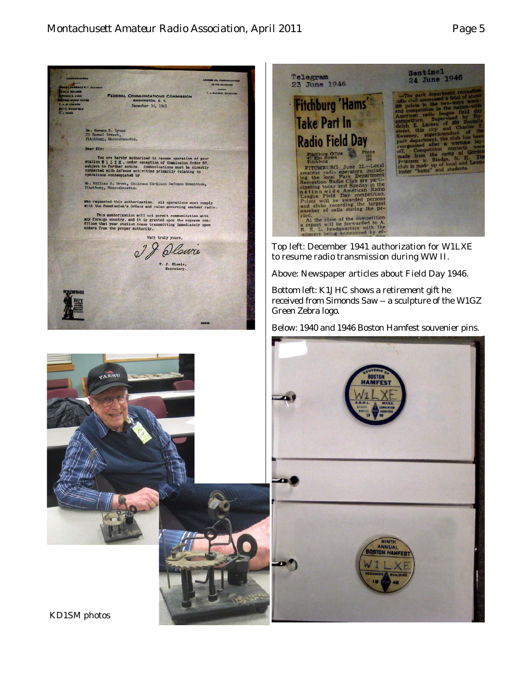

KD1SM photos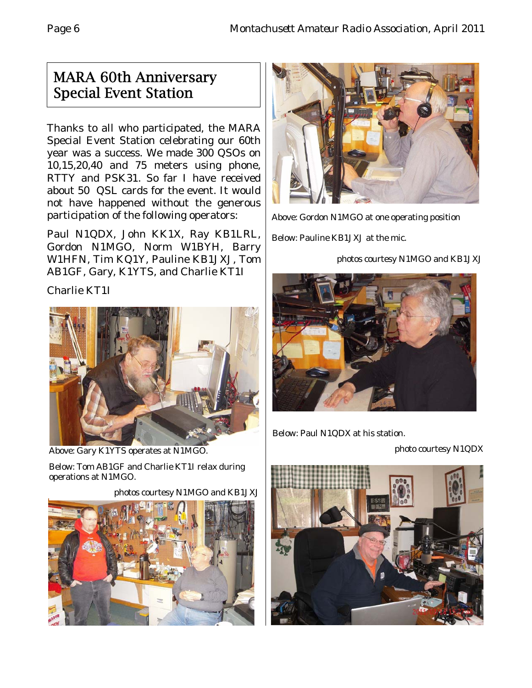### MARA 60th Anniversary Special Event Station

Thanks to all who participated, the MARA Special Event Station celebrating our 60th year was a success. We made 300 QSOs on 10,15,20,40 and 75 meters using phone, RTTY and PSK31. So far I have received about 50 QSL cards for the event. It would not have happened without the generous participation of the following operators:

Paul N1QDX, John KK1X, Ray KB1LRL, Gordon N1MGO, Norm W1BYH, Barry W1HFN, Tim KQ1Y, Pauline KB1JXJ, Tom AB1GF, Gary, K1YTS, and Charlie KT1I

Charlie KT1I



Above: Gary K1YTS operates at N1MGO. Below: Tom AB1GF and Charlie KT1I relax during operations at N1MGO.

photos courtesy N1MGO and KB1JXJ





Above: Gordon N1MGO at one operating position

Below: Pauline KB1JXJ at the mic.

photos courtesy N1MGO and KB1JXJ



Below: Paul N1QDX at his station.

photo courtesy N1QDX

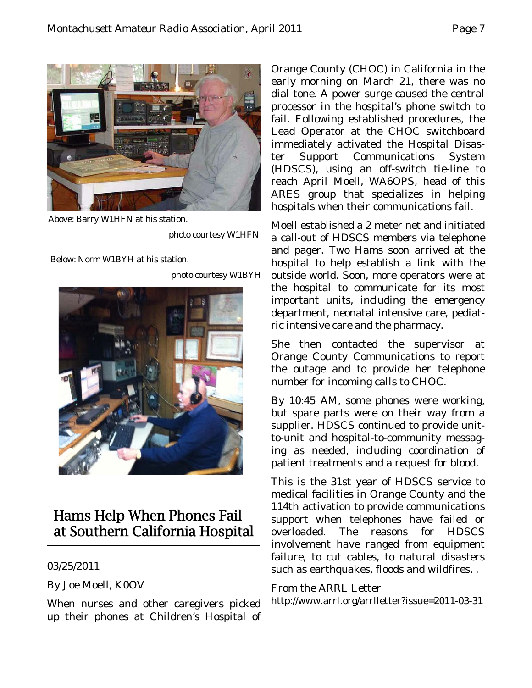

Above: Barry W1HFN at his station.

photo courtesy W1HFN

Below: Norm W1BYH at his station.

photo courtesy W1BYH



## Hams Help When Phones Fail at Southern California Hospital

#### 03/25/2011

By Joe Moell, K0OV

When nurses and other caregivers picked up their phones at Children's Hospital of

Orange County (CHOC) in California in the early morning on March 21, there was no dial tone. A power surge caused the central processor in the hospital's phone switch to fail. Following established procedures, the Lead Operator at the CHOC switchboard immediately activated the Hospital Disaster Support Communications System (HDSCS), using an off-switch tie-line to reach April Moell, WA6OPS, head of this ARES group that specializes in helping hospitals when their communications fail.

Moell established a 2 meter net and initiated a call-out of HDSCS members via telephone and pager. Two Hams soon arrived at the hospital to help establish a link with the outside world. Soon, more operators were at the hospital to communicate for its most important units, including the emergency department, neonatal intensive care, pediatric intensive care and the pharmacy.

She then contacted the supervisor at Orange County Communications to report the outage and to provide her telephone number for incoming calls to CHOC.

By 10:45 AM, some phones were working, but spare parts were on their way from a supplier. HDSCS continued to provide unitto-unit and hospital-to-community messaging as needed, including coordination of patient treatments and a request for blood.

This is the 31st year of HDSCS service to medical facilities in Orange County and the 114th activation to provide communications support when telephones have failed or overloaded. The reasons for HDSCS involvement have ranged from equipment failure, to cut cables, to natural disasters such as earthquakes, floods and wildfires. .

#### From the ARRL Letter

http://www.arrl.org/arrlletter?issue=2011-03-31